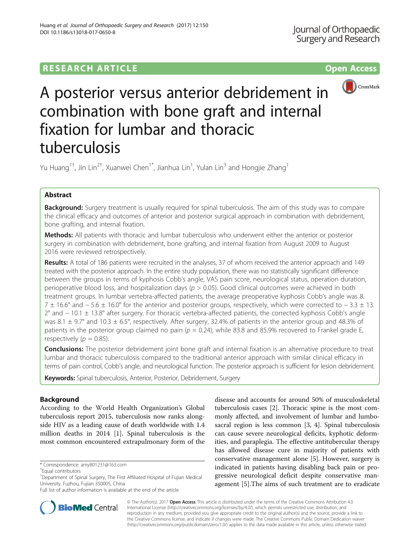# **RESEARCH ARTICLE Example 2014 12:30 The Contract of Contract ACCESS**





# A posterior versus anterior debridement in combination with bone graft and internal fixation for lumbar and thoracic tuberculosis

Yu Huang<sup>1†</sup>, Jin Lin<sup>2†</sup>, Xuanwei Chen<sup>1\*</sup>, Jianhua Lin<sup>1</sup>, Yulan Lin<sup>3</sup> and Hongjie Zhang<sup>1</sup>

# Abstract

Background: Surgery treatment is usually required for spinal tuberculosis. The aim of this study was to compare the clinical efficacy and outcomes of anterior and posterior surgical approach in combination with debridement, bone grafting, and internal fixation.

Methods: All patients with thoracic and lumbar tuberculosis who underwent either the anterior or posterior surgery in combination with debridement, bone grafting, and internal fixation from August 2009 to August 2016 were reviewed retrospectively.

Results: A total of 186 patients were recruited in the analyses, 37 of whom received the anterior approach and 149 treated with the posterior approach. In the entire study population, there was no statistically significant difference between the groups in terms of kyphosis Cobb's angle, VAS pain score, neurological status, operation duration, perioperative blood loss, and hospitalization days ( $p > 0.05$ ). Good clinical outcomes were achieved in both treatment groups. In lumbar vertebra-affected patients, the average preoperative kyphosis Cobb's angle was 8. 7 ± 16.6° and − 5.6 ± 16.0° for the anterior and posterior groups, respectively, which were corrected to − 3.3 ± 13. 2° and − 10.1 ± 13.8° after surgery. For thoracic vertebra-affected patients, the corrected kyphosis Cobb's angle was 8.1  $\pm$  9.7° and 10.3  $\pm$  6.5°, respectively. After surgery, 32.4% of patients in the anterior group and 48.3% of patients in the posterior group claimed no pain ( $p = 0.24$ ), while 83.8 and 85.9% recovered to Frankel grade E, respectively ( $p = 0.85$ ).

Conclusions: The posterior debridement joint bone graft and internal fixation is an alternative procedure to treat lumbar and thoracic tuberculosis compared to the traditional anterior approach with similar clinical efficacy in terms of pain control, Cobb's angle, and neurological function. The posterior approach is sufficient for lesion debridement.

Keywords: Spinal tuberculosis, Anterior, Posterior, Debridement, Surgery

### Background

According to the World Health Organization's Global tuberculosis report 2015, tuberculosis now ranks alongside HIV as a leading cause of death worldwide with 1.4 million deaths in 2014 [[1\]](#page-9-0). Spinal tuberculosis is the most common encountered extrapulmonary form of the

disease and accounts for around 50% of musculoskeletal tuberculosis cases [[2\]](#page-9-0). Thoracic spine is the most commonly affected, and involvement of lumbar and lumbosacral region is less common [[3, 4\]](#page-9-0). Spinal tuberculosis can cause severe neurological deficits, kyphotic deformities, and paraplegia. The effective antitubercular therapy has allowed disease cure in majority of patients with conservative management alone [[5](#page-9-0)]. However, surgery is indicated in patients having disabling back pain or progressive neurological deficit despite conservative management [[5\]](#page-9-0).The aims of such treatment are to eradicate



© The Author(s). 2017 **Open Access** This article is distributed under the terms of the Creative Commons Attribution 4.0 International License [\(http://creativecommons.org/licenses/by/4.0/](http://creativecommons.org/licenses/by/4.0/)), which permits unrestricted use, distribution, and reproduction in any medium, provided you give appropriate credit to the original author(s) and the source, provide a link to the Creative Commons license, and indicate if changes were made. The Creative Commons Public Domain Dedication waiver [\(http://creativecommons.org/publicdomain/zero/1.0/](http://creativecommons.org/publicdomain/zero/1.0/)) applies to the data made available in this article, unless otherwise stated.

<sup>\*</sup> Correspondence: [amy801231@163.com](mailto:amy801231@163.com) †

Equal contributors

<sup>&</sup>lt;sup>1</sup>Department of Spinal Surgery, The First Affiliated Hospital of Fujian Medical University, Fuzhou, Fujian 350005, China

Full list of author information is available at the end of the article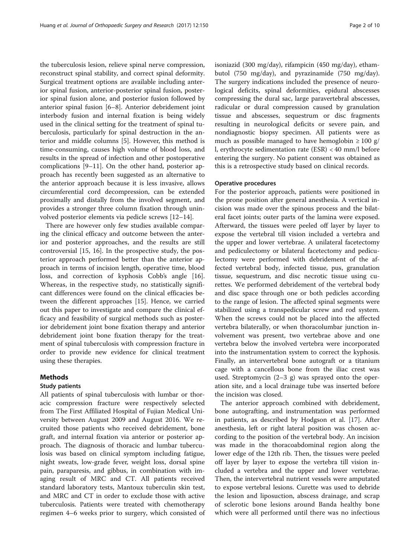the tuberculosis lesion, relieve spinal nerve compression, reconstruct spinal stability, and correct spinal deformity. Surgical treatment options are available including anterior spinal fusion, anterior-posterior spinal fusion, posterior spinal fusion alone, and posterior fusion followed by anterior spinal fusion [[6](#page-9-0)–[8](#page-9-0)]. Anterior debridement joint interbody fusion and internal fixation is being widely used in the clinical setting for the treatment of spinal tuberculosis, particularly for spinal destruction in the anterior and middle columns [\[5\]](#page-9-0). However, this method is time-consuming, causes high volume of blood loss, and results in the spread of infection and other postoperative complications [[9](#page-9-0)–[11](#page-9-0)]. On the other hand, posterior approach has recently been suggested as an alternative to the anterior approach because it is less invasive, allows circumferential cord decompression, can be extended proximally and distally from the involved segment, and provides a stronger three column fixation through uninvolved posterior elements via pedicle screws [\[12](#page-9-0)–[14\]](#page-9-0).

There are however only few studies available comparing the clinical efficacy and outcome between the anterior and posterior approaches, and the results are still controversial [\[15, 16](#page-9-0)]. In the prospective study, the posterior approach performed better than the anterior approach in terms of incision length, operative time, blood loss, and correction of kyphosis Cobb's angle [\[16](#page-9-0)]. Whereas, in the respective study, no statistically significant differences were found on the clinical efficacies between the different approaches [[15](#page-9-0)]. Hence, we carried out this paper to investigate and compare the clinical efficacy and feasibility of surgical methods such as posterior debridement joint bone fixation therapy and anterior debridement joint bone fixation therapy for the treatment of spinal tuberculosis with compression fracture in order to provide new evidence for clinical treatment using these therapies.

#### Methods

#### Study patients

All patients of spinal tuberculosis with lumbar or thoracic compression fracture were respectively selected from The First Affiliated Hospital of Fujian Medical University between August 2009 and August 2016. We recruited those patients who received debridement, bone graft, and internal fixation via anterior or posterior approach. The diagnosis of thoracic and lumbar tuberculosis was based on clinical symptom including fatigue, night sweats, low-grade fever, weight loss, dorsal spine pain, paraparesis, and gibbus, in combination with imaging result of MRC and CT. All patients received standard laboratory tests, Mantoux tuberculin skin test, and MRC and CT in order to exclude those with active tuberculosis. Patients were treated with chemotherapy regimen 4–6 weeks prior to surgery, which consisted of isoniazid (300 mg/day), rifampicin (450 mg/day), ethambutol (750 mg/day), and pyrazinamide (750 mg/day). The surgery indications included the presence of neurological deficits, spinal deformities, epidural abscesses compressing the dural sac, large paravertebral abscesses, radicular or dural compression caused by granulation tissue and abscesses, sequestrum or disc fragments resulting in neurological deficits or severe pain, and nondiagnostic biopsy specimen. All patients were as much as possible managed to have hemoglobin  $\geq 100$  g/ l, erythrocyte sedimentation rate (ESR) < 40 mm/l before entering the surgery. No patient consent was obtained as this is a retrospective study based on clinical records.

#### Operative procedures

For the posterior approach, patients were positioned in the prone position after general anesthesia. A vertical incision was made over the spinous process and the bilateral facet joints; outer parts of the lamina were exposed. Afterward, the tissues were peeled off layer by layer to expose the vertebral till vision included a vertebra and the upper and lower vertebrae. A unilateral facetectomy and pediculectomy or bilateral facetectomy and pediculectomy were performed with debridement of the affected vertebral body, infected tissue, pus, granulation tissue, sequestrum, and disc necrotic tissue using curettes. We performed debridement of the vertebral body and disc space through one or both pedicles according to the range of lesion. The affected spinal segments were stabilized using a transpedicular screw and rod system. When the screws could not be placed into the affected vertebra bilaterally, or when thoracolumbar junction involvement was present, two vertebrae above and one vertebra below the involved vertebra were incorporated into the instrumentation system to correct the kyphosis. Finally, an intervertebral bone autograft or a titanium cage with a cancellous bone from the iliac crest was used. Streptomycin  $(2-3 g)$  was sprayed onto the operation site, and a local drainage tube was inserted before the incision was closed.

The anterior approach combined with debridement, bone autografting, and instrumentation was performed in patients, as described by Hodgson et al. [[17\]](#page-9-0). After anesthesia, left or right lateral position was chosen according to the position of the vertebral body. An incision was made in the thoracoabdominal region along the lower edge of the 12th rib. Then, the tissues were peeled off layer by layer to expose the vertebra till vision included a vertebra and the upper and lower vertebrae. Then, the intervertebral nutrient vessels were amputated to expose vertebral lesions. Curette was used to debride the lesion and liposuction, abscess drainage, and scrap of sclerotic bone lesions around Banda healthy bone which were all performed until there was no infectious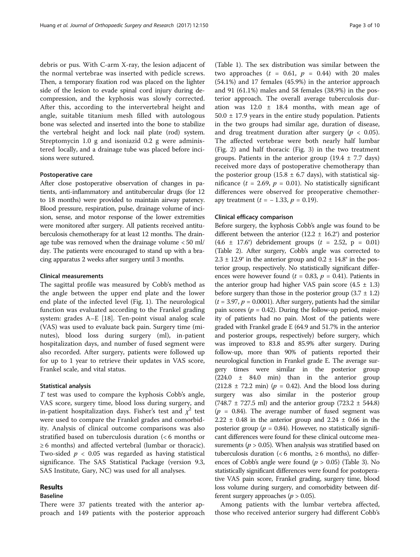debris or pus. With C-arm X-ray, the lesion adjacent of the normal vertebrae was inserted with pedicle screws. Then, a temporary fixation rod was placed on the lighter side of the lesion to evade spinal cord injury during decompression, and the kyphosis was slowly corrected. After this, according to the intervertebral height and angle, suitable titanium mesh filled with autologous bone was selected and inserted into the bone to stabilize

the vertebral height and lock nail plate (rod) system. Streptomycin 1.0 g and isoniazid 0.2 g were administered locally, and a drainage tube was placed before incisions were sutured.

#### Postoperative care

After close postoperative observation of changes in patients, anti-inflammatory and antitubercular drugs (for 12 to 18 months) were provided to maintain airway patency. Blood pressure, respiration, pulse, drainage volume of incision, sense, and motor response of the lower extremities were monitored after surgery. All patients received antituberculosis chemotherapy for at least 12 months. The drainage tube was removed when the drainage volume < 50 ml/ day. The patients were encouraged to stand up with a bracing apparatus 2 weeks after surgery until 3 months.

#### Clinical measurements

The sagittal profile was measured by Cobb's method as the angle between the upper end plate and the lower end plate of the infected level (Fig. [1\)](#page-3-0). The neurological function was evaluated according to the Frankel grading system: grades A–E [\[18](#page-9-0)]. Ten-point visual analog scale (VAS) was used to evaluate back pain. Surgery time (minutes), blood loss during surgery (ml), in-patient hospitalization days, and number of fused segment were also recorded. After surgery, patients were followed up for up to 1 year to retrieve their updates in VAS score, Frankel scale, and vital status.

#### Statistical analysis

T test was used to compare the kyphosis Cobb's angle, VAS score, surgery time, blood loss during surgery, and in-patient hospitalization days. Fisher's test and  $\chi^2$  test were used to compare the Frankel grades and comorbidity. Analysis of clinical outcome comparisons was also stratified based on tuberculosis duration (< 6 months or ≥ 6 months) and affected vertebral (lumbar or thoracic). Two-sided  $p < 0.05$  was regarded as having statistical significance. The SAS Statistical Package (version 9.3, SAS Institute, Gary, NC) was used for all analyses.

#### Results

#### Baseline

There were 37 patients treated with the anterior approach and 149 patients with the posterior approach

(Table [1\)](#page-4-0). The sex distribution was similar between the two approaches ( $t = 0.61$ ,  $p = 0.44$ ) with 20 males (54.1%) and 17 females (45.9%) in the anterior approach and 91 (61.1%) males and 58 females (38.9%) in the posterior approach. The overall average tuberculosis duration was  $12.0 \pm 18.4$  months, with mean age of  $50.0 \pm 17.9$  years in the entire study population. Patients in the two groups had similar age, duration of disease, and drug treatment duration after surgery ( $p < 0.05$ ). The affected vertebrae were both nearly half lumbar (Fig. [2\)](#page-4-0) and half thoracic (Fig. [3](#page-5-0)) in the two treatment groups. Patients in the anterior group  $(19.4 \pm 7.7 \text{ days})$ received more days of postoperative chemotherapy than the posterior group (15.8  $\pm$  6.7 days), with statistical significance ( $t = 2.69$ ,  $p = 0.01$ ). No statistically significant differences were observed for preoperative chemotherapy treatment ( $t = -1.33$ ,  $p = 0.19$ ).

#### Clinical efficacy comparison

Before surgery, the kyphosis Cobb's angle was found to be different between the anterior  $(12.2 \pm 16.2^{\circ})$  and posterior  $(4.6 \pm 17.6^{\circ})$  debridement groups  $(t = 2.52, p = 0.01)$ (Table [2](#page-6-0)). After surgery, Cobb's angle was corrected to  $2.3 \pm 12.9^{\circ}$  in the anterior group and  $0.2 \pm 14.8^{\circ}$  in the posterior group, respectively. No statistically significant differences were however found ( $t = 0.83$ ,  $p = 0.41$ ). Patients in the anterior group had higher VAS pain score  $(4.5 \pm 1.3)$ before surgery than those in the posterior group  $(3.7 \pm 1.2)$  $(t = 3.97, p = 0.0001)$ . After surgery, patients had the similar pain scores ( $p = 0.42$ ). During the follow-up period, majority of patients had no pain. Most of the patients were graded with Frankel grade E (64.9 and 51.7% in the anterior and posterior groups, respectively) before surgery, which was improved to 83.8 and 85.9% after surgery. During follow-up, more than 90% of patients reported their neurological function in Frankel grade E. The average surgery times were similar in the posterior group (224.0 ± 84.0 min) than in the anterior group  $(212.8 \pm 72.2 \text{ min})$  ( $p = 0.42$ ). And the blood loss during surgery was also similar in the posterior group  $(748.7 \pm 727.5 \text{ ml})$  and the anterior group  $(723.2 \pm 544.8)$  $(p = 0.84)$ . The average number of fused segment was  $2.22 \pm 0.48$  in the anterior group and  $2.24 \pm 0.66$  in the posterior group ( $p = 0.84$ ). However, no statistically significant differences were found for these clinical outcome measurements ( $p > 0.05$ ). When analysis was stratified based on tuberculosis duration (<6 months,  $\geq$  6 months), no differences of Cobb's angle were found ( $p > 0.05$ ) (Table [3\)](#page-7-0). No statistically significant differences were found for postoperative VAS pain score, Frankel grading, surgery time, blood loss volume during surgery, and comorbidity between different surgery approaches ( $p > 0.05$ ).

Among patients with the lumbar vertebra affected, those who received anterior surgery had different Cobb's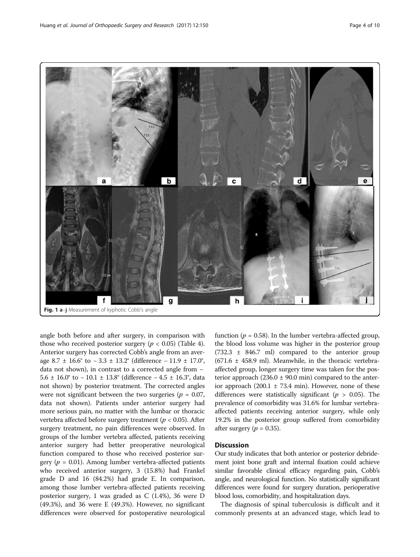<span id="page-3-0"></span>

angle both before and after surgery, in comparison with those who received posterior surgery ( $p < 0.05$ ) (Table [4](#page-8-0)). Anterior surgery has corrected Cobb's angle from an average 8.7 ± 16.6° to − 3.3 ± 13.2° (difference − 11.9 ± 17.0°, data not shown), in contrast to a corrected angle from − 5.6 ± 16.0° to − 10.1 ± 13.8° (difference − 4.5 ± 16.3°, data not shown) by posterior treatment. The corrected angles were not significant between the two surgeries ( $p = 0.07$ , data not shown). Patients under anterior surgery had more serious pain, no matter with the lumbar or thoracic vertebra affected before surgery treatment ( $p < 0.05$ ). After surgery treatment, no pain differences were observed. In groups of the lumber vertebra affected, patients receiving anterior surgery had better preoperative neurological function compared to those who received posterior surgery ( $p = 0.01$ ). Among lumber vertebra-affected patients who received anterior surgery, 3 (15.8%) had Frankel grade D and 16 (84.2%) had grade E. In comparison, among those lumber vertebra-affected patients receiving posterior surgery, 1 was graded as C (1.4%), 36 were D (49.3%), and 36 were E (49.3%). However, no significant differences were observed for postoperative neurological

function ( $p = 0.58$ ). In the lumber vertebra-affected group, the blood loss volume was higher in the posterior group  $(732.3 \pm 846.7 \text{ ml})$  compared to the anterior group (671.6  $\pm$  458.9 ml). Meanwhile, in the thoracic vertebraaffected group, longer surgery time was taken for the posterior approach (236.0  $\pm$  90.0 min) compared to the anterior approach  $(200.1 \pm 73.4 \text{ min})$ . However, none of these differences were statistically significant ( $p > 0.05$ ). The prevalence of comorbidity was 31.6% for lumbar vertebraaffected patients receiving anterior surgery, while only 19.2% in the posterior group suffered from comorbidity after surgery ( $p = 0.35$ ).

#### **Discussion**

Our study indicates that both anterior or posterior debridement joint bone graft and internal fixation could achieve similar favorable clinical efficacy regarding pain, Cobb's angle, and neurological function. No statistically significant differences were found for surgery duration, perioperative blood loss, comorbidity, and hospitalization days.

The diagnosis of spinal tuberculosis is difficult and it commonly presents at an advanced stage, which lead to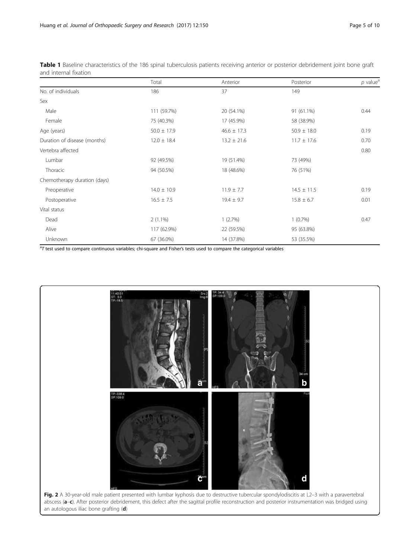|                                 | Total           | Anterior        | Posterior       | $p$ value <sup>a</sup> |
|---------------------------------|-----------------|-----------------|-----------------|------------------------|
| No. of individuals              | 186             | 37              | 149             |                        |
| Sex                             |                 |                 |                 |                        |
| Male                            | 111 (59.7%)     | 20 (54.1%)      | 91 (61.1%)      | 0.44                   |
| Female                          | 75 (40.3%)      | 17 (45.9%)      | 58 (38.9%)      |                        |
| Age (years)                     | $50.0 \pm 17.9$ | $46.6 \pm 17.3$ | $50.9 \pm 18.0$ | 0.19                   |
| Duration of disease (months)    | $12.0 \pm 18.4$ |                 | $11.7 \pm 17.6$ | 0.70                   |
| Vertebra affected               |                 |                 |                 | 0.80                   |
| Lumbar                          | 92 (49.5%)      | 19 (51.4%)      | 73 (49%)        |                        |
| Thoracic                        | 94 (50.5%)      | 18 (48.6%)      | 76 (51%)        |                        |
| Chemotherapy duration (days)    |                 |                 |                 |                        |
| Preoperative                    | $14.0 \pm 10.9$ | $11.9 \pm 7.7$  | $14.5 \pm 11.5$ | 0.19                   |
| $16.5 \pm 7.5$<br>Postoperative |                 | $19.4 \pm 9.7$  | $15.8 \pm 6.7$  | 0.01                   |
| Vital status                    |                 |                 |                 |                        |
| Dead                            | $2(1.1\%)$      | 1(2.7%)         | 1(0.7%)         | 0.47                   |
| Alive                           | 117 (62.9%)     | 22 (59.5%)      | 95 (63.8%)      |                        |
| Unknown                         | 67 (36.0%)      | 14 (37.8%)      | 53 (35.5%)      |                        |

<span id="page-4-0"></span>Table 1 Baseline characteristics of the 186 spinal tuberculosis patients receiving anterior or posterior debridement joint bone graft and internal fixation

<sup>a</sup>T test used to compare continuous variables; chi-square and Fisher's tests used to compare the categorical variables

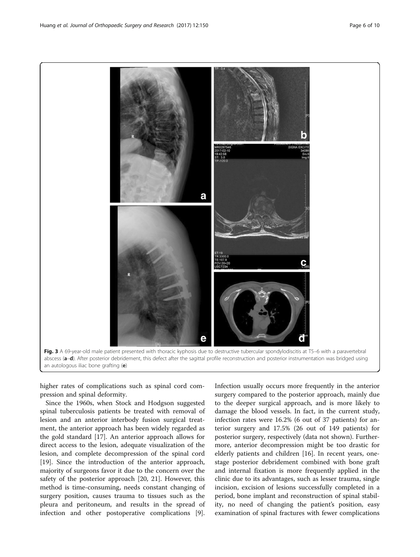higher rates of complications such as spinal cord compression and spinal deformity.

Since the 1960s, when Stock and Hodgson suggested spinal tuberculosis patients be treated with removal of lesion and an anterior interbody fusion surgical treatment, the anterior approach has been widely regarded as the gold standard [\[17\]](#page-9-0). An anterior approach allows for direct access to the lesion, adequate visualization of the lesion, and complete decompression of the spinal cord [[19\]](#page-9-0). Since the introduction of the anterior approach, majority of surgeons favor it due to the concern over the safety of the posterior approach [\[20](#page-9-0), [21](#page-9-0)]. However, this method is time-consuming, needs constant changing of surgery position, causes trauma to tissues such as the pleura and peritoneum, and results in the spread of infection and other postoperative complications [\[9](#page-9-0)].

Infection usually occurs more frequently in the anterior surgery compared to the posterior approach, mainly due to the deeper surgical approach, and is more likely to damage the blood vessels. In fact, in the current study, infection rates were 16.2% (6 out of 37 patients) for anterior surgery and 17.5% (26 out of 149 patients) for posterior surgery, respectively (data not shown). Furthermore, anterior decompression might be too drastic for elderly patients and children [[16\]](#page-9-0). In recent years, onestage posterior debridement combined with bone graft and internal fixation is more frequently applied in the clinic due to its advantages, such as lesser trauma, single incision, excision of lesions successfully completed in a period, bone implant and reconstruction of spinal stability, no need of changing the patient's position, easy examination of spinal fractures with fewer complications

<span id="page-5-0"></span>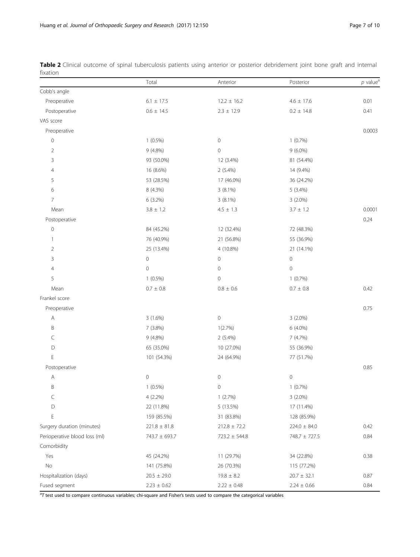|                               | Total             | Anterior            | Posterior        | $p$ value <sup>a</sup> |
|-------------------------------|-------------------|---------------------|------------------|------------------------|
| Cobb's angle                  |                   |                     |                  |                        |
| Preoperative                  | $6.1 \pm 17.5$    | $12.2 \pm 16.2$     | $4.6 \pm 17.6$   | 0.01                   |
| Postoperative                 | $0.6 \pm 14.5$    |                     | $0.2 \pm 14.8$   | 0.41                   |
| VAS score                     |                   |                     |                  |                        |
| Preoperative                  |                   |                     |                  | 0.0003                 |
| $\mathsf{O}\xspace$           | $1(0.5\%)$        | $\mathsf{O}\xspace$ | 1(0.7%)          |                        |
| $\overline{2}$                | $9(4.8\%)$        | $\mathbf 0$         | $9(6.0\%)$       |                        |
| 3                             | 93 (50.0%)        | 12 (3.4%)           | 81 (54.4%)       |                        |
| 4                             | 16 (8.6%)         | $2(5.4\%)$          | 14 (9.4%)        |                        |
| 5                             | 53 (28.5%)        | 17 (46.0%)          | 36 (24.2%)       |                        |
| 6                             | 8 (4.3%)          | 3 (8.1%)            | 5 (3.4%)         |                        |
| 7                             | 6 (3.2%)          | 3 (8.1%)            | $3(2.0\%)$       |                        |
| Mean                          | $3.8 \pm 1.2$     | $4.5 \pm 1.3$       | $3.7 \pm 1.2$    | 0.0001                 |
| Postoperative                 |                   |                     |                  | 0.24                   |
| $\mathsf{O}\xspace$           | 84 (45.2%)        | 12 (32.4%)          | 72 (48.3%)       |                        |
| $\mathbf{1}$                  | 76 (40.9%)        | 21 (56.8%)          | 55 (36.9%)       |                        |
| $\overline{2}$                | 25 (13.4%)        | 4 (10.8%)           | 21 (14.1%)       |                        |
| 3                             | 0                 | $\mathsf{O}\xspace$ | 0                |                        |
| $\overline{4}$                | $\mathbf 0$       | $\mathsf{O}\xspace$ | $\mathbf 0$      |                        |
| 5                             | $1(0.5\%)$        | $\mathcal O$        | 1(0.7%)          |                        |
| Mean                          | $0.7\,\pm\,0.8$   | $0.8 \pm 0.6$       | $0.7\,\pm\,0.8$  | 0.42                   |
| Frankel score                 |                   |                     |                  |                        |
| Preoperative                  |                   |                     |                  | 0.75                   |
| Α                             | 3(1.6%)           | $\mathsf{O}\xspace$ | $3(2.0\%)$       |                        |
| Β                             | 7 (3.8%)          | 1(2.7%)             | 6 (4.0%)         |                        |
| C                             | 9 (4.8%)          | $2(5.4\%)$          | 7 (4.7%)         |                        |
| D                             | 65 (35.0%)        | 10 (27.0%)          | 55 (36.9%)       |                        |
| Ε                             | 101 (54.3%)       | 24 (64.9%)          | 77 (51.7%)       |                        |
| Postoperative                 |                   |                     |                  | 0.85                   |
| Α                             | 0                 | $\mathsf{O}\xspace$ | $\mathbf 0$      |                        |
| B                             | $1(0.5\%)$        | $\mathsf{O}\xspace$ | 1(0.7%)          |                        |
| C                             | 4 (2.2%)          | 1(2.7%)             | $3(2.0\%)$       |                        |
| D                             | 22 (11.8%)        | 5 (13.5%)           | 17 (11.4%)       |                        |
| E                             | 159 (85.5%)       | 31 (83.8%)          | 128 (85.9%)      |                        |
| Surgery duration (minutes)    | $221.8 \pm 81.8$  | $212.8 \pm 72.2$    | $224.0 \pm 84.0$ | 0.42                   |
| Perioperative blood loss (ml) | $743.7 \pm 693.7$ | $723.2 \pm 544.8$   | 748.7 ± 727.5    | 0.84                   |
| Comorbidity                   |                   |                     |                  |                        |
| Yes                           | 45 (24.2%)        | 11 (29.7%)          | 34 (22.8%)       | 0.38                   |
| No                            | 141 (75.8%)       | 26 (70.3%)          | 115 (77.2%)      |                        |
| Hospitalization (days)        | $20.5 \pm 29.0$   | $19.8 \pm 8.2$      | $20.7 \pm 32.1$  | 0.87                   |
| Fused segment                 | $2.23\,\pm\,0.62$ | $2.22 \pm 0.48$     | $2.24 \pm 0.66$  | 0.84                   |

<span id="page-6-0"></span>

| Table 2 Clinical outcome of spinal tuberculosis patients using anterior or posterior debridement joint bone graft and internal |  |  |  |  |  |  |  |
|--------------------------------------------------------------------------------------------------------------------------------|--|--|--|--|--|--|--|
| fixation                                                                                                                       |  |  |  |  |  |  |  |

<sup>a</sup>T test used to compare continuous variables; chi-square and Fisher's tests used to compare the categorical variables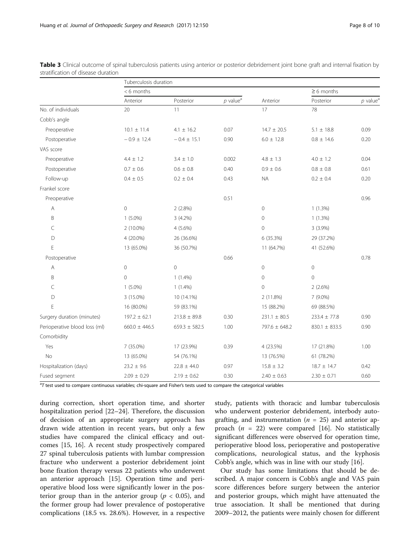|                               | Tuberculosis duration |                   |                        |                  |                   |                        |  |  |  |
|-------------------------------|-----------------------|-------------------|------------------------|------------------|-------------------|------------------------|--|--|--|
|                               | $< 6$ months          |                   |                        |                  | $\geq 6$ months   |                        |  |  |  |
|                               | Anterior              | Posterior         | $p$ value <sup>a</sup> | Anterior         | Posterior         | $p$ value <sup>a</sup> |  |  |  |
| No. of individuals            | 20                    | 11                |                        | 17               | 78                |                        |  |  |  |
| Cobb's angle                  |                       |                   |                        |                  |                   |                        |  |  |  |
| Preoperative                  | $10.1 \pm 11.4$       | $4.1 \pm 16.2$    | 0.07                   | $14.7 \pm 20.5$  | $5.1 \pm 18.8$    | 0.09                   |  |  |  |
| Postoperative                 | $-0.9 \pm 12.4$       | $-0.4 \pm 15.1$   | 0.90                   | $6.0 \pm 12.8$   | $0.8 \pm 14.6$    | 0.20                   |  |  |  |
| VAS score                     |                       |                   |                        |                  |                   |                        |  |  |  |
| Preoperative                  | $4.4 \pm 1.2$         | $3.4 \pm 1.0$     | 0.002                  | $4.8 \pm 1.3$    | $4.0 \pm 1.2$     | 0.04                   |  |  |  |
| Postoperative                 | $0.7 \pm 0.6$         | $0.6 \pm 0.8$     | 0.40                   | $0.9 \pm 0.6$    | $0.8 \pm 0.8$     | 0.61                   |  |  |  |
| Follow-up                     | $0.4 \pm 0.5$         | $0.2 \pm 0.4$     | 0.43                   | <b>NA</b>        | $0.2 \pm 0.4$     | 0.20                   |  |  |  |
| Frankel score                 |                       |                   |                        |                  |                   |                        |  |  |  |
| Preoperative                  |                       |                   | 0.51                   |                  |                   | 0.96                   |  |  |  |
| Α                             | $\mathbf 0$           | 2(2.8%)           |                        | $\mathbf 0$      | $1(1.3\%)$        |                        |  |  |  |
| B                             | $1(5.0\%)$            | $3(4.2\%)$        |                        | $\circ$          | $1(1.3\%)$        |                        |  |  |  |
| C                             | 2 (10.0%)             | $4(5.6\%)$        |                        | $\overline{0}$   | $3(3.9\%)$        |                        |  |  |  |
| D                             | $4(20.0\%)$           | 26 (36.6%)        |                        | 6 (35.3%)        | 29 (37.2%)        |                        |  |  |  |
| E                             | 13 (65.0%)            | 36 (50.7%)        |                        | 11 (64.7%)       | 41 (52.6%)        |                        |  |  |  |
| Postoperative                 |                       |                   | 0.66                   |                  |                   | 0.78                   |  |  |  |
| Α                             | $\mathbf 0$           | $\mathbf 0$       |                        | $\mathbf 0$      | $\mathbf 0$       |                        |  |  |  |
| Β                             | $\circ$               | $1(1.4\%)$        |                        | 0                | $\mathbf 0$       |                        |  |  |  |
| C                             | $1(5.0\%)$            | $1(1.4\%)$        |                        | $\Omega$         | $2(2.6\%)$        |                        |  |  |  |
| D                             | 3 (15.0%)             | 10 (14.1%)        |                        | 2 (11.8%)        | 7 (9.0%)          |                        |  |  |  |
| E                             | 16 (80.0%)            | 59 (83.1%)        |                        | 15 (88.2%)       | 69 (88.5%)        |                        |  |  |  |
| Surgery duration (minutes)    | $197.2 \pm 62.1$      | $213.8 \pm 89.8$  | 0.30                   | $231.1 \pm 80.5$ | $233.4 \pm 77.8$  | 0.90                   |  |  |  |
| Perioperative blood loss (ml) | $660.0 \pm 446.5$     | $659.3 \pm 582.5$ | 1.00                   | 797.6 ± 648.2    | $830.1 \pm 833.5$ | 0.90                   |  |  |  |
| Comorbidity                   |                       |                   |                        |                  |                   |                        |  |  |  |
| Yes                           | 7 (35.0%)             | 17 (23.9%)        | 0.39                   | 4 (23.5%)        | 17 (21.8%)        | 1.00                   |  |  |  |
| No                            | 13 (65.0%)            | 54 (76.1%)        |                        | 13 (76.5%)       | 61 (78.2%)        |                        |  |  |  |
| Hospitalization (days)        | $23.2 \pm 9.6$        | $22.8 \pm 44.0$   | 0.97                   | $15.8 \pm 3.2$   | $18.7 \pm 14.7$   | 0.42                   |  |  |  |
| Fused segment                 | $2.09 \pm 0.29$       | $2.19 \pm 0.62$   | 0.30                   | $2.40 \pm 0.63$  | $2.30 \pm 0.71$   | 0.60                   |  |  |  |

<span id="page-7-0"></span>Table 3 Clinical outcome of spinal tuberculosis patients using anterior or posterior debridement joint bone graft and internal fixation by stratification of disease duration

<sup>a</sup>T test used to compare continuous variables; chi-square and Fisher's tests used to compare the categorical variables

during correction, short operation time, and shorter hospitalization period [\[22](#page-9-0)–[24\]](#page-9-0). Therefore, the discussion of decision of an appropriate surgery approach has drawn wide attention in recent years, but only a few studies have compared the clinical efficacy and outcomes [[15, 16\]](#page-9-0). A recent study prospectively compared 27 spinal tuberculosis patients with lumbar compression fracture who underwent a posterior debridement joint bone fixation therapy versus 22 patients who underwent an anterior approach [\[15](#page-9-0)]. Operation time and perioperative blood loss were significantly lower in the posterior group than in the anterior group ( $p < 0.05$ ), and the former group had lower prevalence of postoperative complications (18.5 vs. 28.6%). However, in a respective study, patients with thoracic and lumbar tuberculosis who underwent posterior debridement, interbody autografting, and instrumentation ( $n = 25$ ) and anterior approach ( $n = 22$ ) were compared [\[16](#page-9-0)]. No statistically significant differences were observed for operation time, perioperative blood loss, perioperative and postoperative complications, neurological status, and the kyphosis Cobb's angle, which was in line with our study [\[16](#page-9-0)].

Our study has some limitations that should be described. A major concern is Cobb's angle and VAS pain score differences before surgery between the anterior and posterior groups, which might have attenuated the true association. It shall be mentioned that during 2009–2012, the patients were mainly chosen for different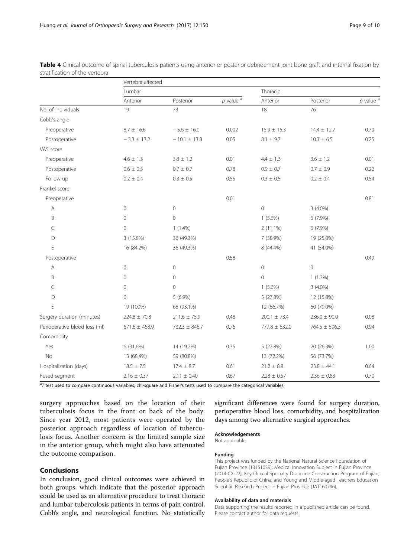|                               | Vertebra affected |                     |               |                   |                   |               |  |  |  |
|-------------------------------|-------------------|---------------------|---------------|-------------------|-------------------|---------------|--|--|--|
|                               | Lumbar            |                     |               | Thoracic          |                   |               |  |  |  |
|                               | Anterior          | Posterior           | $p$ value $a$ | Anterior          | Posterior         | $p$ value $a$ |  |  |  |
| No. of individuals            | 19                | 73                  |               | 18                | 76                |               |  |  |  |
| Cobb's angle                  |                   |                     |               |                   |                   |               |  |  |  |
| Preoperative                  | $8.7 \pm 16.6$    | $-5.6 \pm 16.0$     | 0.002         | $15.9 \pm 15.3$   | $14.4 \pm 12.7$   | 0.70          |  |  |  |
| Postoperative                 | $-3.3 \pm 13.2$   | $-10.1 \pm 13.8$    | 0.05          | $8.1 \pm 9.7$     | $10.3 \pm 6.5$    | 0.25          |  |  |  |
| VAS score                     |                   |                     |               |                   |                   |               |  |  |  |
| Preoperative                  | $4.6 \pm 1.3$     | $3.8 \pm 1.2$       | 0.01          | $4.4 \pm 1.3$     | $3.6 \pm 1.2$     | 0.01          |  |  |  |
| Postoperative                 | $0.6 \pm 0.5$     | $0.7 \pm 0.7$       | 0.78          | $0.9 \pm 0.7$     | $0.7 \pm 0.9$     | 0.22          |  |  |  |
| Follow-up                     | $0.2 \pm 0.4$     | $0.3 \pm 0.5$       | 0.55          | $0.3 \pm 0.5$     | $0.2 \pm 0.4$     | 0.54          |  |  |  |
| Frankel score                 |                   |                     |               |                   |                   |               |  |  |  |
| Preoperative                  |                   |                     | 0.01          |                   |                   | 0.81          |  |  |  |
| Α                             | $\overline{0}$    | $\mathbf 0$         |               | $\overline{0}$    | $3(4.0\%)$        |               |  |  |  |
| B                             | $\overline{0}$    | $\overline{0}$      |               | $1(5.6\%)$        | $6(7.9\%)$        |               |  |  |  |
| C                             | 0                 | $1(1.4\%)$          |               | 2 (11.1%)         | $6(7.9\%)$        |               |  |  |  |
| D                             | 3 (15.8%)         | 36 (49.3%)          |               | 7 (38.9%)         | 19 (25.0%)        |               |  |  |  |
| E                             | 16 (84.2%)        | 36 (49.3%)          |               | 8 (44.4%)         | 41 (54.0%)        |               |  |  |  |
| Postoperative                 |                   |                     | 0.58          |                   |                   | 0.49          |  |  |  |
| А                             | $\mathbf{0}$      | $\mathsf{O}\xspace$ |               | $\overline{0}$    | $\mathbb O$       |               |  |  |  |
| B                             | 0                 | $\mathsf{O}\xspace$ |               | $\overline{0}$    | $1(1.3\%)$        |               |  |  |  |
| C                             | $\overline{0}$    | $\overline{0}$      |               | $1(5.6\%)$        | $3(4.0\%)$        |               |  |  |  |
| D                             | 0                 | 5 (6.9%)            |               | 5 (27.8%)         | 12 (15.8%)        |               |  |  |  |
| E                             | 19 (100%)         | 68 (93.1%)          |               | 12 (66.7%)        | 60 (79.0%)        |               |  |  |  |
| Surgery duration (minutes)    | $224.8 \pm 70.8$  | $211.6 \pm 75.9$    | 0.48          | $200.1 \pm 73.4$  | $236.0 \pm 90.0$  | 0.08          |  |  |  |
| Perioperative blood loss (ml) | $671.6 \pm 458.9$ | $732.3 \pm 846.7$   | 0.76          | $777.8 \pm 632.0$ | $764.5 \pm 596.3$ | 0.94          |  |  |  |
| Comorbidity                   |                   |                     |               |                   |                   |               |  |  |  |
| Yes                           | 6 (31.6%)         | 14 (19.2%)          | 0.35          | 5 (27.8%)         | 20 (26.3%)        | 1.00          |  |  |  |
| No                            | 13 (68.4%)        | 59 (80.8%)          |               | 13 (72.2%)        | 56 (73.7%)        |               |  |  |  |
| Hospitalization (days)        | $18.5 \pm 7.5$    | $17.4 \pm 8.7$      | 0.61          | $21.2 \pm 8.8$    | $23.8 \pm 44.1$   | 0.64          |  |  |  |
| Fused segment                 | $2.16 \pm 0.37$   | $2.11 \pm 0.40$     | 0.67          | $2.28 \pm 0.57$   | $2.36 \pm 0.83$   | 0.70          |  |  |  |

<span id="page-8-0"></span>Table 4 Clinical outcome of spinal tuberculosis patients using anterior or posterior debridement joint bone graft and internal fixation by stratification of the vertebra

<sup>a</sup>T test used to compare continuous variables; chi-square and Fisher's tests used to compare the categorical variables

surgery approaches based on the location of their tuberculosis focus in the front or back of the body. Since year 2012, most patients were operated by the posterior approach regardless of location of tuberculosis focus. Another concern is the limited sample size in the anterior group, which might also have attenuated the outcome comparison.

#### Conclusions

In conclusion, good clinical outcomes were achieved in both groups, which indicate that the posterior approach could be used as an alternative procedure to treat thoracic and lumbar tuberculosis patients in terms of pain control, Cobb's angle, and neurological function. No statistically

significant differences were found for surgery duration, perioperative blood loss, comorbidity, and hospitalization days among two alternative surgical approaches.

#### Acknowledgements

Not applicable.

#### Funding

This project was funded by the National Natural Science Foundation of Fujian Province (13151039); Medical Innovation Subject in Fujian Province (2014-CX-22); Key Clinical Specialty Discipline Construction Program of Fujian, People's Republic of China; and Young and Middle-aged Teachers Education Scientific Research Project in Fujian Province (JAT160796).

#### Availability of data and materials

Data supporting the results reported in a published article can be found. Please contact author for data requests.